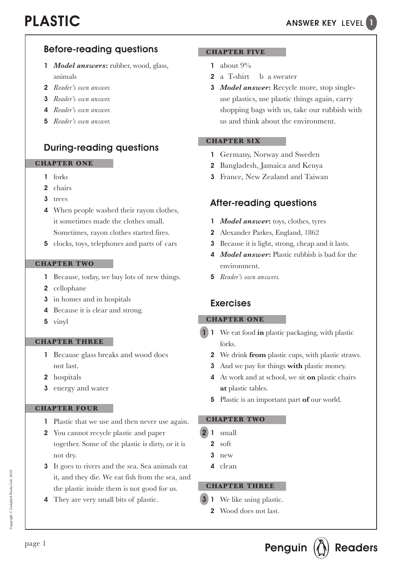# PLASTIC

## Before-reading questions

- 1 *Model answers***:** rubber, wood, glass, animals
- 2 *Reader's own answer.*
- 3 *Reader's own answer.*
- 4 *Reader's own answer.*
- 5 *Reader's own answer.*

## During-reading questions

#### **CHAPTER ONE**

- 1 forks
- 2 chairs
- 3 trees
- 4 When people washed their rayon clothes, it sometimes made the clothes small. Sometimes, rayon clothes started fires.
- 5 clocks, toys, telephones and parts of cars

#### **CHAPTER TWO**

- 1 Because, today, we buy lots of new things.
- 2 cellophane
- 3 in homes and in hospitals
- 4 Because it is clear and strong.
- 5 vinyl

#### **CHAPTER THREE**

- 1 Because glass breaks and wood does not last.
- 2 hospitals
- 3 energy and water

### **CHAPTER FOUR**

- 1 Plastic that we use and then never use again.
- 2 You cannot recycle plastic and paper together. Some of the plastic is dirty, or it is not dry.
- 3 It goes to rivers and the sea. Sea animals eat it, and they die. We eat fish from the sea, and the plastic inside them is not good for us.
- 4 They are very small bits of plastic.

### **CHAPTER FIVE**

- 1 about  $9\%$
- 2 a T-shirt b a sweater
- 3 *Model answer***:** Recycle more, stop singleuse plastics, use plastic things again, carry shopping bags with us, take our rubbish with us and think about the environment.

### **CHAPTER SIX**

- 1 Germany, Norway and Sweden
- 2 Bangladesh, Jamaica and Kenya
- 3 France, New Zealand and Taiwan

## After-reading questions

- 1 *Model answer*: toys, clothes, tyres
- 2 Alexander Parkes, England, 1862
- 3 Because it is light, strong, cheap and it lasts.
- 4 *Model answer***:** Plastic rubbish is bad for the environment.
- 5 *Reader's own answers.*

### Exercises

### **CHAPTER ONE**

- 1 We eat food **in** plastic packaging, with plastic forks. 1
	- 2 We drink **from** plastic cups, with plastic straws.
	- 3 And we pay for things **with** plastic money.
	- 4 At work and at school, we sit **on** plastic chairs **at** plastic tables.
	- 5 Plastic is an important part **of** our world.

### **CHAPTER TWO**

- **2** 1 small
	- $2 \cdot \text{soft}$
	- 3 new
	- 4 clean

#### **CHAPTER THREE**

- **3** 1 We like using plastic.
	- 2 Wood does not last.

Copyright © Ladybird Books Ltd, 2019

Sopyright © Ladybird Books Ltd, 2019